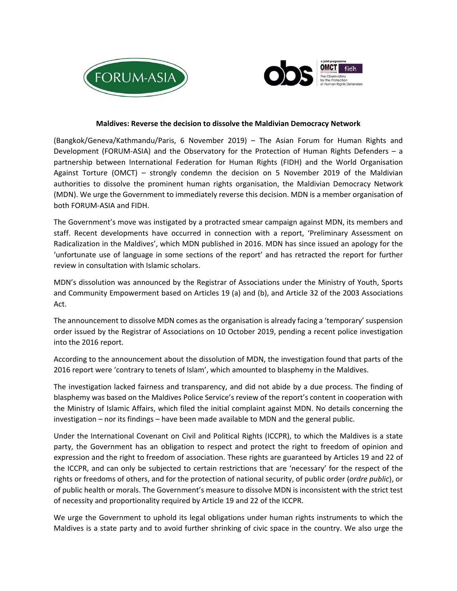



## **Maldives: Reverse the decision to dissolve the Maldivian Democracy Network**

(Bangkok/Geneva/Kathmandu/Paris, 6 November 2019) – The Asian Forum for Human Rights and Development (FORUM-ASIA) and the Observatory for the Protection of Human Rights Defenders – a partnership between International Federation for Human Rights (FIDH) and the World Organisation Against Torture (OMCT) – strongly condemn the decision on 5 November 2019 of the Maldivian authorities to dissolve the prominent human rights organisation, the Maldivian Democracy Network (MDN). We urge the Government to immediately reverse this decision. MDN is a member organisation of both FORUM‐ASIA and FIDH.

The Government's move was instigated by a protracted smear campaign against MDN, its members and staff. Recent developments have occurred in connection with a report, 'Preliminary Assessment on Radicalization in the Maldives', which MDN published in 2016. MDN has since issued an apology for the 'unfortunate use of language in some sections of the report' and has retracted the report for further review in consultation with Islamic scholars.

MDN's dissolution was announced by the Registrar of Associations under the Ministry of Youth, Sports and Community Empowerment based on Articles 19 (a) and (b), and Article 32 of the 2003 Associations Act.

The announcement to dissolve MDN comes as the organisation is already facing a 'temporary' suspension order issued by the Registrar of Associations on 10 October 2019, pending a recent police investigation into the 2016 report.

According to the announcement about the dissolution of MDN, the investigation found that parts of the 2016 report were 'contrary to tenets of Islam', which amounted to blasphemy in the Maldives.

The investigation lacked fairness and transparency, and did not abide by a due process. The finding of blasphemy was based on the Maldives Police Service's review of the report's content in cooperation with the Ministry of Islamic Affairs, which filed the initial complaint against MDN. No details concerning the investigation – nor its findings – have been made available to MDN and the general public.

Under the International Covenant on Civil and Political Rights (ICCPR), to which the Maldives is a state party, the Government has an obligation to respect and protect the right to freedom of opinion and expression and the right to freedom of association. These rights are guaranteed by Articles 19 and 22 of the ICCPR, and can only be subjected to certain restrictions that are 'necessary' for the respect of the rights or freedoms of others, and for the protection of national security, of public order (*ordre public*), or of public health or morals. The Government's measure to dissolve MDN is inconsistent with the strict test of necessity and proportionality required by Article 19 and 22 of the ICCPR.

We urge the Government to uphold its legal obligations under human rights instruments to which the Maldives is a state party and to avoid further shrinking of civic space in the country. We also urge the